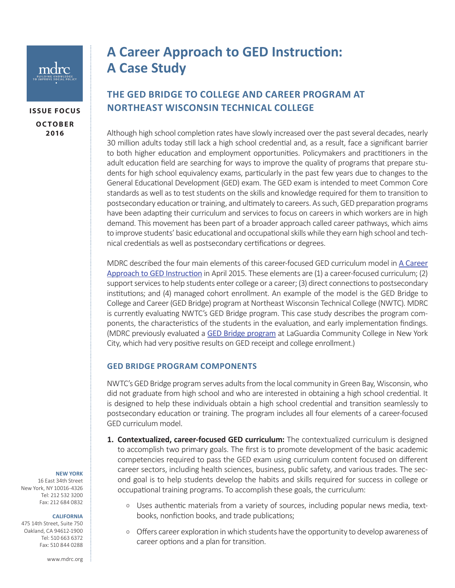

| ISSUE FOLUS    |
|----------------|
| <b>OCTOBER</b> |
| 2016           |

**ISSUE FOCUS**

# **A Career Approach to GED Instruction: A Case Study**

# **THE GED BRIDGE TO COLLEGE AND CAREER PROGRAM AT NORTHEAST WISCONSIN TECHNICAL COLLEGE**

Although high school completion rates have slowly increased over the past several decades, nearly 30 million adults today still lack a high school credential and, as a result, face a significant barrier to both higher education and employment opportunities. Policymakers and practitioners in the adult education field are searching for ways to improve the quality of programs that prepare students for high school equivalency exams, particularly in the past few years due to changes to the General Educational Development (GED) exam. The GED exam is intended to meet Common Core standards as well as to test students on the skills and knowledge required for them to transition to postsecondary education or training, and ultimately to careers. As such, GED preparation programs have been adapting their curriculum and services to focus on careers in which workers are in high demand. This movement has been part of a broader approach called career pathways, which aims to improve students' basic educational and occupational skills while they earn high school and technical credentials as well as postsecondary certifications or degrees.

MDRC described the four main elements of this career-focused GED curriculum model in [A Career](http://www.mdrc.org/publication/career-approach-ged-instruction)  [Approach to GED Instruction](http://www.mdrc.org/publication/career-approach-ged-instruction) in April 2015. These elements are (1) a career-focused curriculum; (2) support services to help students enter college or a career; (3) direct connections to postsecondary institutions; and (4) managed cohort enrollment. An example of the model is the GED Bridge to College and Career (GED Bridge) program at Northeast Wisconsin Technical College (NWTC). MDRC is currently evaluating NWTC's GED Bridge program. This case study describes the program components, the characteristics of the students in the evaluation, and early implementation findings. (MDRC previously evaluated a [GED Bridge program](http://www.mdrc.org/publication/enhancing-ged-instruction-prepare-students-college-and-careers) at LaGuardia Community College in New York City, which had very positive results on GED receipt and college enrollment.)

# **GED BRIDGE PROGRAM COMPONENTS**

NWTC's GED Bridge program serves adults from the local community in Green Bay, Wisconsin, who did not graduate from high school and who are interested in obtaining a high school credential. It is designed to help these individuals obtain a high school credential and transition seamlessly to postsecondary education or training. The program includes all four elements of a career-focused GED curriculum model.

- **1. Contextualized, career-focused GED curriculum:** The contextualized curriculum is designed to accomplish two primary goals. The first is to promote development of the basic academic competencies required to pass the GED exam using curriculum content focused on different career sectors, including health sciences, business, public safety, and various trades. The second goal is to help students develop the habits and skills required for success in college or occupational training programs. To accomplish these goals, the curriculum:
	- <sup>o</sup> Uses authentic materials from a variety of sources, including popular news media, textbooks, nonfiction books, and trade publications;
	- o Offers career exploration in which students have the opportunity to develop awareness of career options and a plan for transition.

#### **NEW YORK**

16 East 34th Street New York, NY 10016-4326 Tel: 212 532 3200 Fax: 212 684 0832

#### **CALIFORNIA**

475 14th Street, Suite 750 Oakland, CA 94612-1900 Tel: 510 663 6372 Fax: 510 844 0288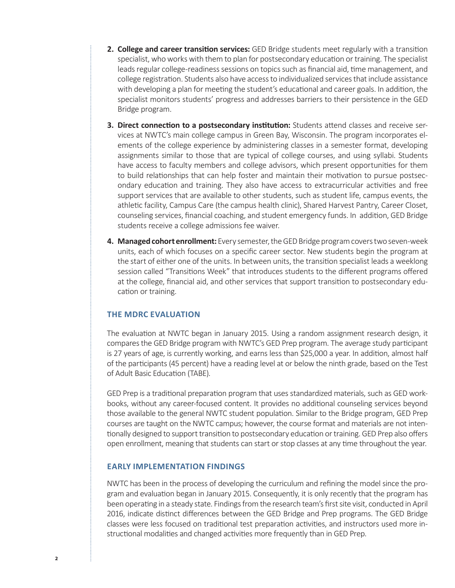- **2. College and career transition services:** GED Bridge students meet regularly with a transition specialist, who works with them to plan for postsecondary education or training. The specialist leads regular college-readiness sessions on topics such as financial aid, time management, and college registration. Students also have access to individualized services that include assistance with developing a plan for meeting the student's educational and career goals. In addition, the specialist monitors students' progress and addresses barriers to their persistence in the GED Bridge program.
- **3. Direct connection to a postsecondary institution:** Students attend classes and receive services at NWTC's main college campus in Green Bay, Wisconsin. The program incorporates elements of the college experience by administering classes in a semester format, developing assignments similar to those that are typical of college courses, and using syllabi. Students have access to faculty members and college advisors, which present opportunities for them to build relationships that can help foster and maintain their motivation to pursue postsecondary education and training. They also have access to extracurricular activities and free support services that are available to other students, such as student life, campus events, the athletic facility, Campus Care (the campus health clinic), Shared Harvest Pantry, Career Closet, counseling services, financial coaching, and student emergency funds. In addition, GED Bridge students receive a college admissions fee waiver.
- **4. Managed cohort enrollment:** Every semester, the GED Bridge program covers two seven-week units, each of which focuses on a specific career sector. New students begin the program at the start of either one of the units. In between units, the transition specialist leads a weeklong session called "Transitions Week" that introduces students to the different programs offered at the college, financial aid, and other services that support transition to postsecondary education or training.

## **THE MDRC EVALUATION**

The evaluation at NWTC began in January 2015. Using a random assignment research design, it compares the GED Bridge program with NWTC's GED Prep program. The average study participant is 27 years of age, is currently working, and earns less than \$25,000 a year. In addition, almost half of the participants (45 percent) have a reading level at or below the ninth grade, based on the Test of Adult Basic Education (TABE).

GED Prep is a traditional preparation program that uses standardized materials, such as GED workbooks, without any career-focused content. It provides no additional counseling services beyond those available to the general NWTC student population. Similar to the Bridge program, GED Prep courses are taught on the NWTC campus; however, the course format and materials are not intentionally designed to support transition to postsecondary education or training. GED Prep also offers open enrollment, meaning that students can start or stop classes at any time throughout the year.

### **EARLY IMPLEMENTATION FINDINGS**

NWTC has been in the process of developing the curriculum and refining the model since the program and evaluation began in January 2015. Consequently, it is only recently that the program has been operating in a steady state. Findings from the research team's first site visit, conducted in April 2016, indicate distinct differences between the GED Bridge and Prep programs. The GED Bridge classes were less focused on traditional test preparation activities, and instructors used more instructional modalities and changed activities more frequently than in GED Prep.